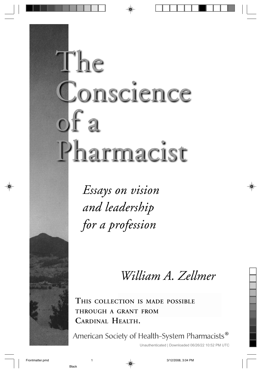# The Conscience  $of a$ Pharmacist

Essays on vision and leadership for a profession

William A. Zellmer

**THIS COLLECTION IS MADE POSSIBLE THROUGH A GRANT FROM CARDINAL HEALTH.**

f Health-System Pharmacists®

Unauthenticated | Downloaded 06/26/22 10:52 PM UTC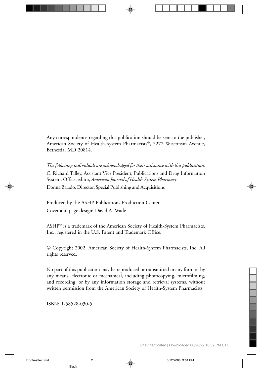Any correspondence regarding this publication should be sent to the publisher, American Society of Health-System Pharmacists®, 7272 Wisconsin Avenue, Bethesda, MD 20814.

*The following individuals are acknowledged for their assistance with this publication:* C. Richard Talley, Assistant Vice President, Publications and Drug Information Systems Office; editor, *American Journal of Health-System Pharmacy* Donna Balado, Director, Special Publishing and Acquisitions

Produced by the ASHP Publications Production Center. Cover and page design: David A. Wade

ASHP® is a trademark of the American Society of Health-System Pharmacists, Inc.; registered in the U.S. Patent and Trademark Office.

© Copyright 2002, American Society of Health-System Pharmacists, Inc. All rights reserved.

No part of this publication may be reproduced or transmitted in any form or by any means, electronic or mechanical, including photocopying, microfilming, and recording, or by any information storage and retrieval systems, without written permission from the American Society of Health-System Pharmacists.

ISBN: 1-58528-030-5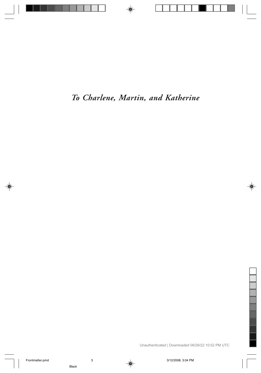## *To Charlene, Martin, and Katherine*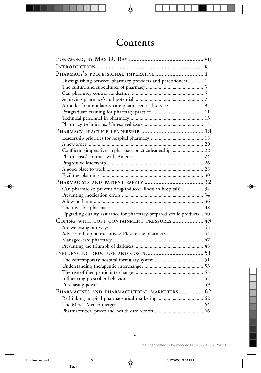# **Contents**

| PHARMACY'S PROFESSIONAL IMPERATIVE 1                                   |  |
|------------------------------------------------------------------------|--|
| Distinguishing between pharmacy providers and practitioners 1          |  |
|                                                                        |  |
|                                                                        |  |
|                                                                        |  |
| A model for ambulatory-care pharmaceutical services 9                  |  |
|                                                                        |  |
|                                                                        |  |
|                                                                        |  |
|                                                                        |  |
|                                                                        |  |
|                                                                        |  |
| Conflicting imperatives in pharmacy practice leadership  22            |  |
|                                                                        |  |
|                                                                        |  |
|                                                                        |  |
|                                                                        |  |
|                                                                        |  |
| Can pharmacists prevent drug-induced illness in hospitals? 32          |  |
|                                                                        |  |
|                                                                        |  |
|                                                                        |  |
| Upgrading quality assurance for pharmacy-prepared sterile products  40 |  |
| COPING WITH COST CONTAINMENT PRESSURES  43                             |  |
|                                                                        |  |
| Advice to hospital executives: Elevate the pharmacy  45                |  |
|                                                                        |  |
|                                                                        |  |
|                                                                        |  |
|                                                                        |  |
|                                                                        |  |
|                                                                        |  |
|                                                                        |  |
|                                                                        |  |
| PHARMACISTS AND PHARMACEUTICAL MARKETERS 62                            |  |
|                                                                        |  |
|                                                                        |  |
|                                                                        |  |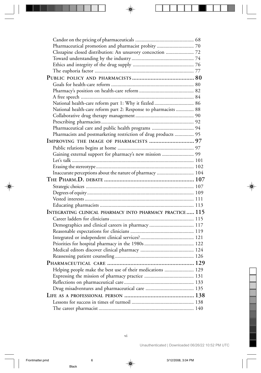| Pharmaceutical promotion and pharmacist probity  70             |  |
|-----------------------------------------------------------------|--|
| Clozapine closed distribution: An unsavory concoction  72       |  |
|                                                                 |  |
|                                                                 |  |
|                                                                 |  |
|                                                                 |  |
|                                                                 |  |
|                                                                 |  |
|                                                                 |  |
| National health-care reform part 1: Why it fizzled  86          |  |
| National health-care reform part 2: Response to pharmacists  88 |  |
|                                                                 |  |
|                                                                 |  |
| Pharmaceutical care and public health programs  94              |  |
| Pharmacists and postmarketing restriction of drug products  95  |  |
|                                                                 |  |
|                                                                 |  |
| Gaining external support for pharmacy's new mission  99         |  |
|                                                                 |  |
|                                                                 |  |
| Inaccurate perceptions about the nature of pharmacy  104        |  |
|                                                                 |  |
|                                                                 |  |
|                                                                 |  |
|                                                                 |  |
|                                                                 |  |
|                                                                 |  |
| INTEGRATING CLINICAL PHARMACY INTO PHARMACY PRACTICE 115        |  |
|                                                                 |  |
|                                                                 |  |
| Demographics and clinical careers in pharmacy  117              |  |
|                                                                 |  |
|                                                                 |  |
|                                                                 |  |
|                                                                 |  |
|                                                                 |  |
|                                                                 |  |
| Helping people make the best use of their medications  129      |  |
|                                                                 |  |
|                                                                 |  |
|                                                                 |  |
|                                                                 |  |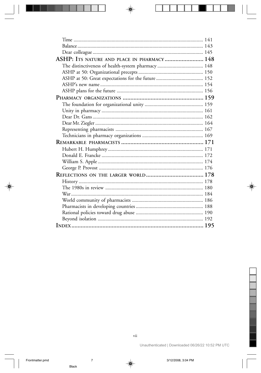| ASHP: ITS NATURE AND PLACE IN PHARMACY 148 |  |
|--------------------------------------------|--|
|                                            |  |
|                                            |  |
|                                            |  |
|                                            |  |
|                                            |  |
|                                            |  |
|                                            |  |
|                                            |  |
|                                            |  |
|                                            |  |
|                                            |  |
|                                            |  |
|                                            |  |
|                                            |  |
|                                            |  |
|                                            |  |
|                                            |  |
|                                            |  |
|                                            |  |
|                                            |  |
|                                            |  |
|                                            |  |
|                                            |  |
|                                            |  |
|                                            |  |
|                                            |  |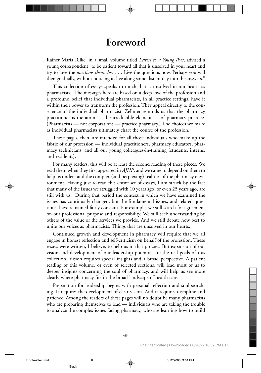#### **Foreword**

Rainer Maria Rilke, in a small volume titled *Letters to a Young Poet*, advised a young correspondent "to be patient toward all that is unsolved in your heart and try to love the *questions themselves . . .* Live the questions now. Perhaps you will then gradually, without noticing it, live along some distant day into the answers."

This collection of essays speaks to much that is unsolved in our hearts as pharmacists. The messages here are based on a deep love of the profession and a profound belief that individual pharmacists, in all practice settings, have it within their power to transform the profession. They appeal directly to the conscience of the individual pharmacist. Zellmer reminds us that the pharmacy practitioner is the atom — the irreducible element — of pharmacy practice. (Pharmacists — not corporations — practice pharmacy.) The choices we make as individual pharmacists ultimately chart the course of the profession.

These pages, then, are intended for all those individuals who make up the fabric of our profession — individual practitioners, pharmacy educators, pharmacy technicians, and all our young colleagues-in-training (students, interns, and residents).

For many readers, this will be at least the second reading of these pieces. We read them when they first appeared in *AJHP*, and we came to depend on them to help us understand the complex (and perplexing) realities of the pharmacy environment. Having just re-read this entire set of essays, I am struck by the fact that many of the issues we struggled with 10 years ago, or even 25 years ago, are still with us. During that period the context in which we have examined the issues has continually changed, but the fundamental issues, and related questions, have remained fairly constant. For example, we still search for agreement on our professional purpose and responsibility. We still seek understanding by others of the value of the services we provide. And we still debate how best to unite our voices as pharmacists. Things that are unsolved in our hearts.

Continued growth and development in pharmacy will require that we all engage in honest reflection and self-criticism on behalf of the profession. These essays were written, I believe, to help us in that process. But expansion of our vision and development of our leadership potential are the real goals of this collection. Vision requires special insights and a broad perspective. A patient reading of this volume, or even of selected sections, will lead most of us to deeper insights concerning the soul of pharmacy, and will help us see more clearly where pharmacy fits in the broad landscape of health care.

Preparation for leadership begins with personal reflection and soul-searching. It requires the development of clear vision. And it requires discipline and patience. Among the readers of these pages will no doubt be many pharmacists who are preparing themselves to lead — individuals who are taking the trouble to analyze the complex issues facing pharmacy, who are learning how to build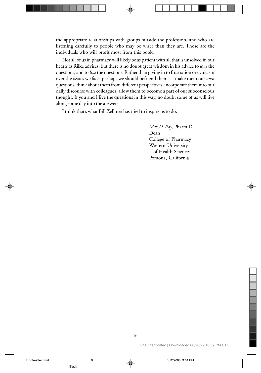the appropriate relationships with groups outside the profession, and who are listening carefully to people who may be wiser than they are. Those are the individuals who will profit most from this book.

Not all of us in pharmacy will likely be as patient with all that is unsolved in our hearts as Rilke advises, but there is no doubt great wisdom in his advice to *love* the questions, and to *live* the questions. Rather than giving in to frustration or cynicism over the issues we face, perhaps we should befriend them — make them our *own* questions, think about them from different perspectives, incorporate them into our daily discourse with colleagues, allow them to become a part of our subconscious thought. If you and I live the questions in this way, no doubt some of us will live along some day into the answers.

I think that's what Bill Zellmer has tried to inspire us to do.

*Max D. Ray*, Pharm.D. Dean College of Pharmacy Western University of Health Sciences Pomona, California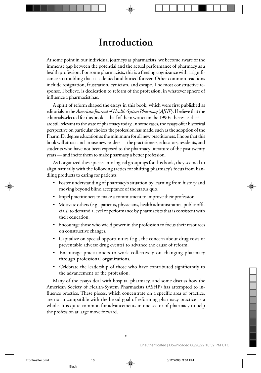## **Introduction**

At some point in our individual journeys as pharmacists, we become aware of the immense gap between the potential and the actual performance of pharmacy as a health profession. For some pharmacists, this is a fleeting cognizance with a significance so troubling that it is denied and buried forever. Other common reactions include resignation, frustration, cynicism, and escape. The most constructive response, I believe, is dedication to reform of the profession, in whatever sphere of influence a pharmacist has.

A spirit of reform shaped the essays in this book, which were first published as editorials in the *American Journal of Health-System Pharmacy* (*AJHP*). I believe that the editorials selected for this book — half of them written in the 1990s, the rest earlier<sup>a</sup> are still relevant to the state of pharmacy today. In some cases, the essays offer historical perspective on particular choices the profession has made, such as the adoption of the Pharm.D. degree education as the minimum for all new practitioners. I hope that this book will attract and arouse new readers — the practitioners, educators, residents, and students who have not been exposed to the pharmacy literature of the past twenty years — and incite them to make pharmacy a better profession.

As I organized these pieces into logical groupings for this book, they seemed to align naturally with the following tactics for shifting pharmacy's focus from handling products to caring for patients:

- Foster understanding of pharmacy's situation by learning from history and moving beyond blind acceptance of the status quo.
- Impel practitioners to make a commitment to improve their profession.
- Motivate others (e.g., patients, physicians, health administrators, public officials) to demand a level of performance by pharmacists that is consistent with their education.
- Encourage those who wield power in the profession to focus their resources on constructive changes.
- Capitalize on special opportunities (e.g., the concern about drug costs or preventable adverse drug events) to advance the cause of reform.
- Encourage practitioners to work collectively on changing pharmacy through professional organizations.
- Celebrate the leadership of those who have contributed significantly to the advancement of the profession.

Many of the essays deal with hospital pharmacy, and some discuss how the American Society of Health-System Pharmacists (ASHP) has attempted to influence practice. These pieces, which concentrate on a specific area of practice, are not incompatible with the broad goal of reforming pharmacy practice as a whole. It is quite common for advancements in one sector of pharmacy to help the profession at large move forward.